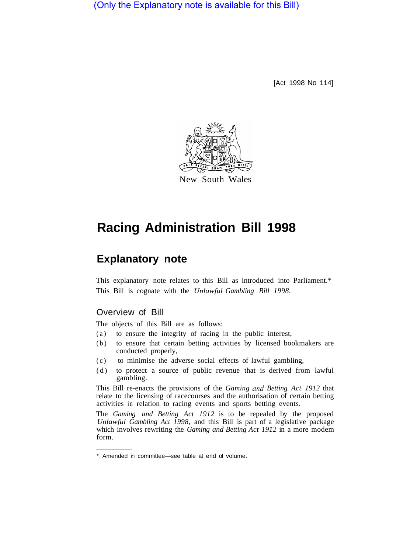# (Only the Explanatory note is available for this Bill)

[Act 1998 No 114]



New South Wales

# **Racing Administration Bill 1998**

# **Explanatory note**

This explanatory note relates to this Bill as introduced into Parliament.\* This Bill is cognate with the *Unlawful Gambling Bill 1998.* 

### Overview of Bill

The objects of this Bill are as follows:

- (a) to ensure the integrity of racing in the public interest,
- (b) to ensure that certain betting activities by licensed bookmakers are conducted properly,
- (c) to minimise the adverse social effects of lawful gambling,
- (d) to protect a source of public revenue that is derived from lawful gambling.

This Bill re-enacts the provisions of the *Gaming and Betting Act 1912* that relate to the licensing of racecourses and the authorisation of certain betting activities in relation to racing events and sports betting events.

The *Gaming and Betting Act 1912* is to be repealed by the proposed *Unlawful Gambling Act 1998,* and this Bill is part of a legislative package which involves rewriting the *Gaming and Betting Act 1912* in a more modem form.

Amended in committee—see table at end of volume.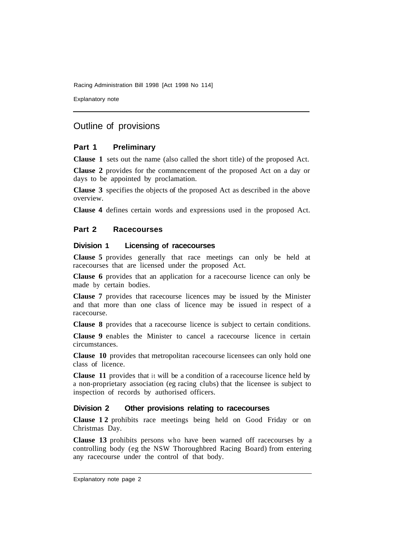Racing Administration Bill 1998 [Act 1998 No 114]

Explanatory note

# Outline of provisions

#### **Part 1 Preliminary**

**Clause 1** sets out the name (also called the short title) of the proposed Act.

**Clause 2** provides for the commencement of the proposed Act on a day or days to be appointed by proclamation.

**Clause 3** specifies the objects of the proposed Act as described in the above overview.

**Clause 4** defines certain words and expressions used in the proposed Act.

#### **Part 2 Racecourses**

#### **Division 1 Licensing of racecourses**

**Clause 5** provides generally that race meetings can only be held at racecourses that are licensed under the proposed Act.

**Clause 6** provides that an application for a racecourse licence can only be made by certain bodies.

**Clause 7** provides that racecourse licences may be issued by the Minister and that more than one class of licence may be issued in respect of a racecourse.

**Clause 8** provides that a racecourse licence is subject to certain conditions.

**Clause 9** enables the Minister to cancel a racecourse licence in certain circumstances.

**Clause 10** provides that metropolitan racecourse licensees can only hold one class of licence.

**Clause 11** provides that it will be a condition of a racecourse licence held by a non-proprietary association (eg racing clubs) that the licensee is subject to inspection of records by authorised officers.

#### **Division 2 Other provisions relating to racecourses**

**Clause 12** prohibits race meetings being held on Good Friday or on Christmas Day.

**Clause 13** prohibits persons who have been warned off racecourses by a controlling body (eg the NSW Thoroughbred Racing Board) from entering any racecourse under the control of that body.

Explanatory note page 2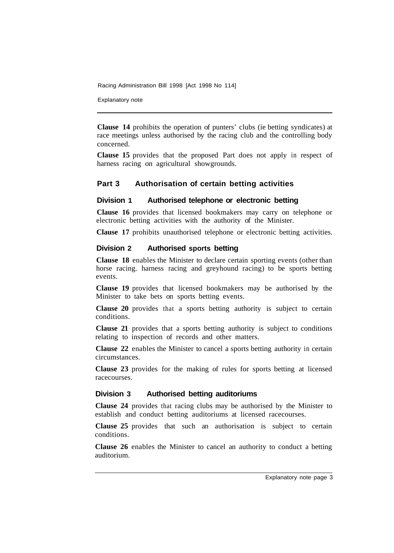Racing Administration Bill 1998 [Act 1998 No 114]

Explanatory note

**Clause 14** prohibits the operation of punters' clubs (ie betting syndicates) at race meetings unless authorised by the racing club and the controlling body concerned.

**Clause 15** provides that the proposed Part does not apply in respect of harness racing on agricultural showgrounds.

#### **Part 3 Authorisation of certain betting activities**

#### **Division 1 Authorised telephone or electronic betting**

**Clause 16** provides that licensed bookmakers may carry on telephone or electronic betting activities with the authority of the Minister.

**Clause 17** prohibits unauthorised telephone or electronic betting activities.

#### **Division 2 Authorised sports betting**

**Clause 18** enables the Minister to declare certain sporting events (other than horse racing. harness racing and greyhound racing) to be sports betting events.

**Clause 19** provides that licensed bookmakers may be authorised by the Minister to take bets on sports betting events.

**Clause 20** provides that a sports betting authority is subject to certain conditions.

**Clause 21** provides that a sports betting authority is subject to conditions relating to inspection of records and other matters.

**Clause 22** enables the Minister to cancel a sports betting authority in certain circumstances.

**Clause 23** provides for the making of rules for sports betting at licensed racecourses.

#### **Division 3 Authorised betting auditoriums**

**Clause 24** provides that racing clubs may be authorised by the Minister to establish and conduct betting auditoriums at licensed racecourses.

**Clause 25** provides that such an authorisation is subject to certain conditions.

**Clause 26** enables the Minister to cancel an authority to conduct a betting auditorium.